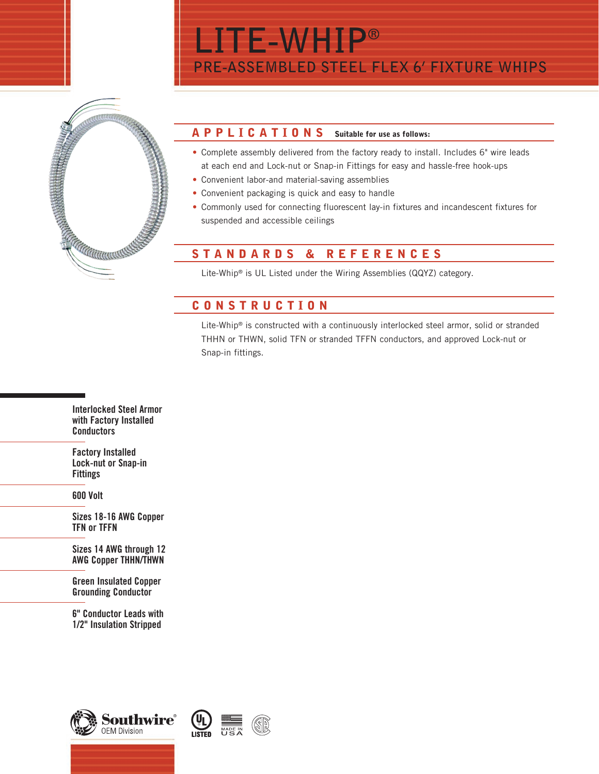

## APPLICATIONS Suitable for use as follows:

• Complete assembly delivered from the factory ready to install. Includes 6" wire leads at each end and Lock-nut or Snap-in Fittings for easy and hassle-free hook-ups

**PRE-ASSEMBLED STEEL FLEX 6' FIXTURE WHIPS**

• Convenient labor-and material-saving assemblies

**LITE-WHIP®**

- Convenient packaging is quick and easy to handle
- Commonly used for connecting fluorescent lay-in fixtures and incandescent fixtures for suspended and accessible ceilings

## STANDARDS & REFERENCES

Lite-Whip® is UL Listed under the Wiring Assemblies (QQYZ) category.

## CONSTRUCTION

Lite-Whip® is constructed with a continuously interlocked steel armor, solid or stranded THHN or THWN, solid TFN or stranded TFFN conductors, and approved Lock-nut or Snap-in fittings.

Interlocked Steel Armor with Factory Installed **Conductors** 

Factory Installed Lock-nut or Snap-in Fittings

600 Volt

Sizes 18-16 AWG Copper TFN or TFFN

Sizes 14 AWG through 12 AWG Copper THHN/THWN

Green Insulated Copper Grounding Conductor

6" Conductor Leads with 1/2" Insulation Stripped